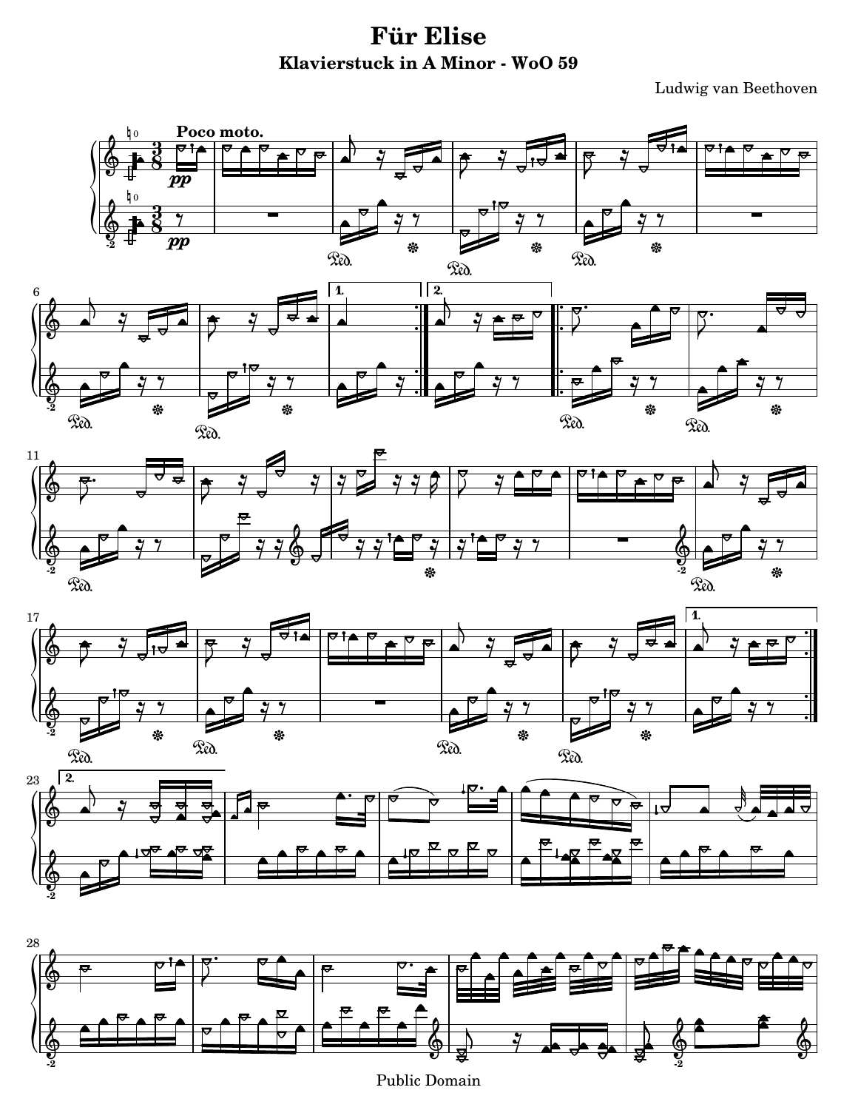**Für Elise Klavierstuck in A Minor - WoO 59**

Ludwig van Beethoven

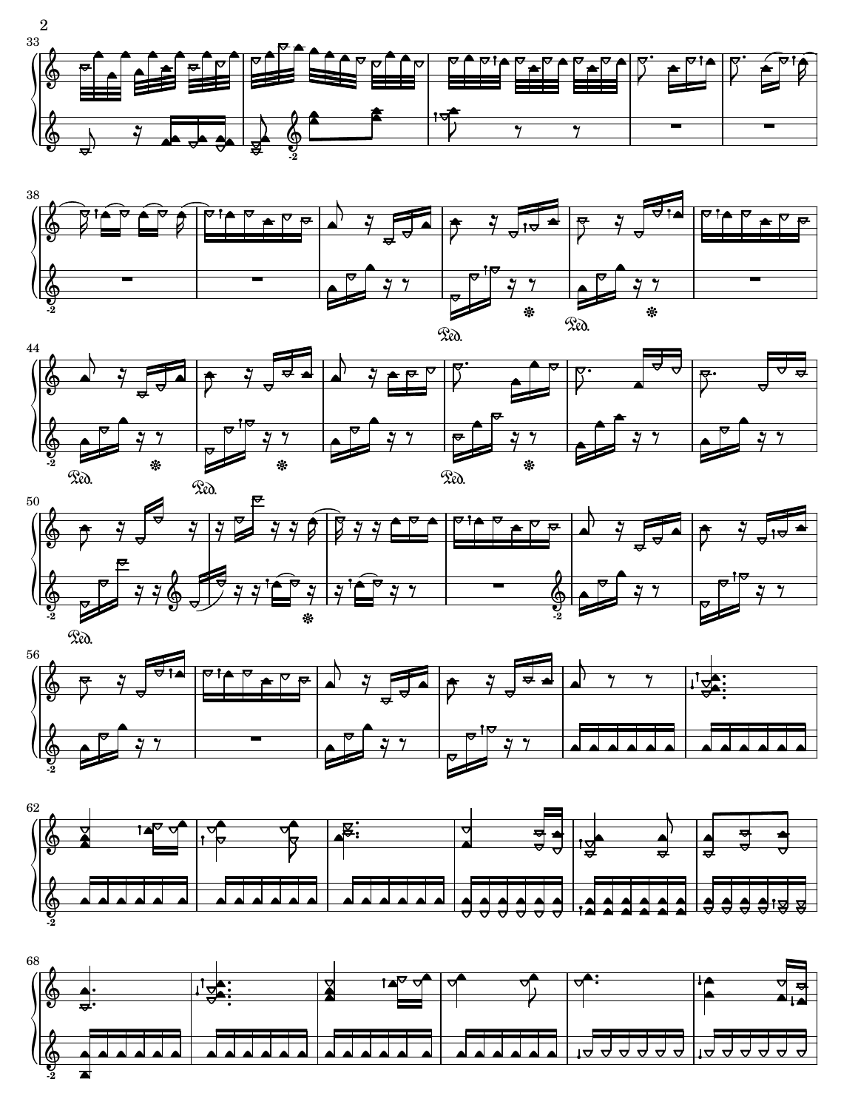